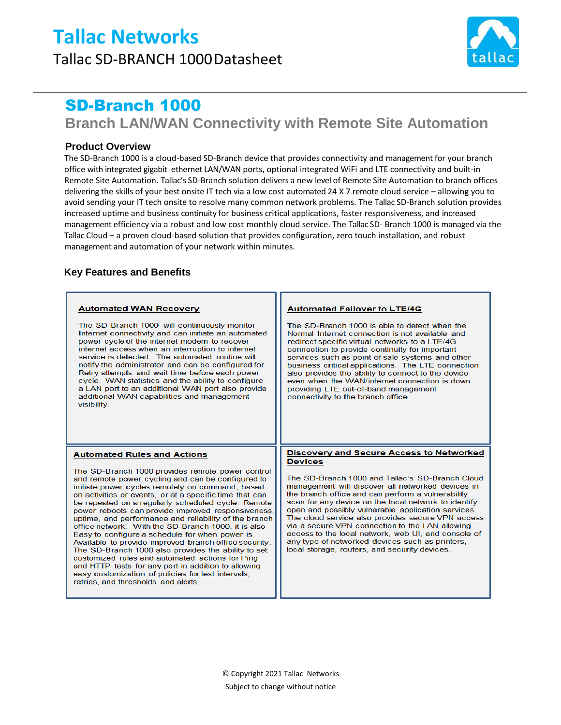# **Tallac Networks** Tallac SD-BRANCH 1000Datasheet



# SD-Branch 1000

**Branch LAN/WAN Connectivity with Remote Site Automation**

### **Product Overview**

The SD-Branch 1000 is a cloud-based SD-Branch device that provides connectivity and management for your branch office with integrated gigabit ethernet LAN/WAN ports, optional integrated WiFi and LTE connectivity and built-in Remote Site Automation. Tallac's SD-Branch solution delivers a new level of Remote Site Automation to branch offices delivering the skills of your best onsite IT tech via a low cost automated 24 X 7 remote cloud service – allowing you to avoid sending your IT tech onsite to resolve many common network problems. The Tallac SD-Branch solution provides increased uptime and business continuity for business critical applications, faster responsiveness, and increased management efficiency via a robust and low cost monthly cloud service. The Tallac SD- Branch 1000 is managed via the Tallac Cloud – a proven cloud-based solution that provides configuration, zero touch installation, and robust management and automation of your network within minutes.

ח ר

### **Key Features and Benefits**

| <b>Automated WAN Recovery</b>                                                                                                                                                                                                                                                                                                                                                                                                                                                                                                                                                                                                                                                                                                                                                                                             | <b>Automated Failover to LTE/4G</b>                                                                                                                                                                                                                                                                                                                                                                                                                                                                                                        |
|---------------------------------------------------------------------------------------------------------------------------------------------------------------------------------------------------------------------------------------------------------------------------------------------------------------------------------------------------------------------------------------------------------------------------------------------------------------------------------------------------------------------------------------------------------------------------------------------------------------------------------------------------------------------------------------------------------------------------------------------------------------------------------------------------------------------------|--------------------------------------------------------------------------------------------------------------------------------------------------------------------------------------------------------------------------------------------------------------------------------------------------------------------------------------------------------------------------------------------------------------------------------------------------------------------------------------------------------------------------------------------|
| The SD-Branch 1000 will continuously monitor<br>Internet connectivity and can initiate an automated<br>power cycle of the internet modem to recover<br>internet access when an interruption to internet<br>service is detected. The automated routine will<br>notify the administrator and can be configured for<br>Retry attempts and wait time before each power<br>cycle. WAN statistics and the ability to configure<br>a LAN port to an additional WAN port also provide<br>additional WAN capabilities and management<br>visibility.                                                                                                                                                                                                                                                                                | The SD-Branch 1000 is able to detect when the<br>Normal Internet connection is not available and<br>redirect specific virtual networks to a LTE/4G<br>connection to provide continuity for important<br>services such as point of sale systems and other<br>business critical applications. The LTE connection<br>also provides the ability to connect to the device<br>even when the WAN/internet connection is down<br>providing LTE out-of-band management<br>connectivity to the branch office.                                        |
| <b>Automated Rules and Actions</b>                                                                                                                                                                                                                                                                                                                                                                                                                                                                                                                                                                                                                                                                                                                                                                                        | <b>Discovery and Secure Access to Networked</b><br><b>Devices</b>                                                                                                                                                                                                                                                                                                                                                                                                                                                                          |
| The SD-Branch 1000 provides remote power control<br>and remote power cycling and can be configured to<br>initiate power cycles remotely on command, based<br>on activities or events, or at a specific time that can<br>be repeated on a regularly scheduled cycle. Remote<br>power reboots can provide improved responsiveness,<br>uptime, and performance and reliability of the branch<br>office network. With the SD-Branch 1000, it is also<br>Easy to configure a schedule for when power is<br>Available to provide improved branch office security.<br>The SD-Branch 1000 also provides the ability to set<br>customized rules and automated actions for Ping<br>and HTTP tests for any port in addition to allowing<br>easy customization of policies for test intervals.<br>retries, and thresholds and alerts. | The SD-Branch 1000 and Tallac's SD-Branch Cloud<br>management will discover all networked devices in<br>the branch office and can perform a vulnerability<br>scan for any device on the local network to identify<br>open and possibly vulnerable application services.<br>The cloud service also provides secure VPN access<br>via a secure VPN connection to the LAN allowing<br>access to the local network, web UI, and console of<br>any type of networked devices such as printers.<br>local storage, routers, and security devices. |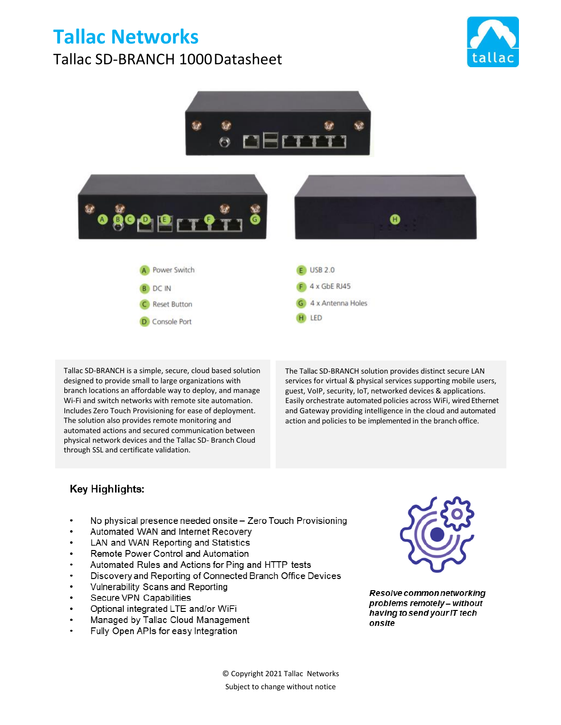# **Tallac Networks**

## Tallac SD-BRANCH 1000Datasheet





Tallac SD-BRANCH is a simple, secure, cloud based solution designed to provide small to large organizations with branch locations an affordable way to deploy, and manage Wi-Fi and switch networks with remote site automation. Includes Zero Touch Provisioning for ease of deployment. The solution also provides remote monitoring and automated actions and secured communication between physical network devices and the Tallac SD- Branch Cloud through SSL and certificate validation.

The Tallac SD-BRANCH solution provides distinct secure LAN services for virtual & physical services supporting mobile users, guest, VoIP, security, IoT, networked devices & applications. Easily orchestrate automated policies across WiFi, wired Ethernet and Gateway providing intelligence in the cloud and automated action and policies to be implemented in the branch office.

### **Key Highlights:**

- No physical presence needed onsite Zero Touch Provisioning
- Automated WAN and Internet Recovery
- LAN and WAN Reporting and Statistics
- Remote Power Control and Automation
- Automated Rules and Actions for Ping and HTTP tests
- Discovery and Reporting of Connected Branch Office Devices
- Vulnerability Scans and Reporting
- Secure VPN Capabilities
- Optional integrated LTE and/or WiFi
- Managed by Tallac Cloud Management
- Fully Open APIs for easy Integration



Resolve common networking problems remotely - without having to send your IT tech onsite

© Copyright 2021 Tallac Networks Subject to change without notice